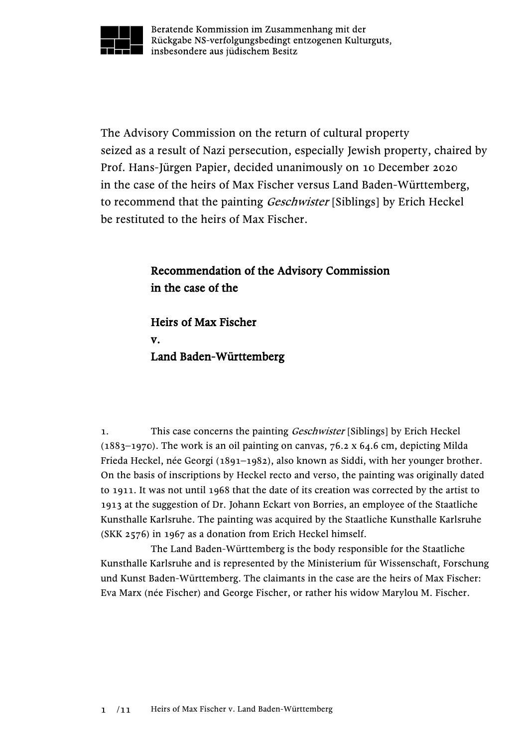

Beratende Kommission im Zusammenhang mit der Rückgabe NS-verfolgungsbedingt entzogenen Kulturguts, insbesondere aus jüdischem Besitz

The Advisory Commission on the return of cultural property seized as a result of Nazi persecution, especially Jewish property, chaired by Prof. Hans-Jürgen Papier, decided unanimously on 10 December 2020 in the case of the heirs of Max Fischer versus Land Baden-Württemberg, to recommend that the painting *Geschwister* [Siblings] by Erich Heckel be restituted to the heirs of Max Fischer.

## Recommendation of the Advisory Commission in the case of the

Heirs of Max Fischer v. Land Baden-Württemberg

1. This case concerns the painting *Geschwister* [Siblings] by Erich Heckel (1883–1970). The work is an oil painting on canvas, 76.2 x 64.6 cm, depicting Milda Frieda Heckel, née Georgi (1891–1982), also known as Siddi, with her younger brother. On the basis of inscriptions by Heckel recto and verso, the painting was originally dated to 1911. It was not until 1968 that the date of its creation was corrected by the artist to 1913 at the suggestion of Dr. Johann Eckart von Borries, an employee of the Staatliche Kunsthalle Karlsruhe. The painting was acquired by the Staatliche Kunsthalle Karlsruhe (SKK 2576) in 1967 as a donation from Erich Heckel himself.

The Land Baden-Württemberg is the body responsible for the Staatliche Kunsthalle Karlsruhe and is represented by the Ministerium für Wissenschaft, Forschung und Kunst Baden-Württemberg. The claimants in the case are the heirs of Max Fischer: Eva Marx (née Fischer) and George Fischer, or rather his widow Marylou M. Fischer.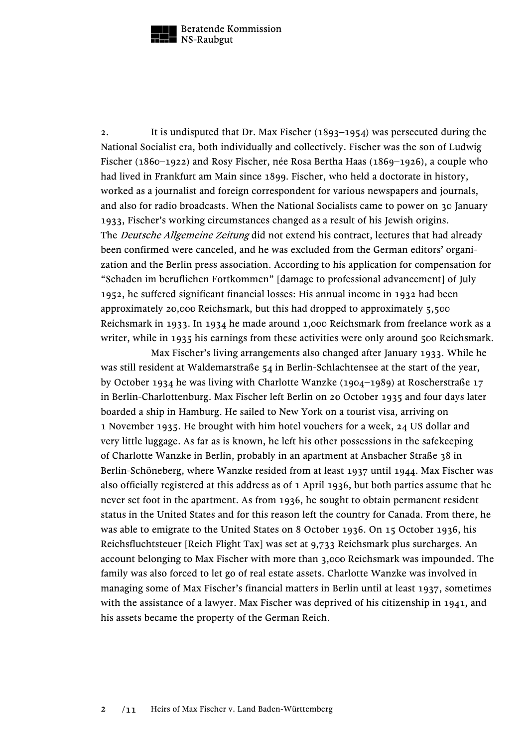

2. It is undisputed that Dr. Max Fischer (1893–1954) was persecuted during the National Socialist era, both individually and collectively. Fischer was the son of Ludwig Fischer (1860–1922) and Rosy Fischer, née Rosa Bertha Haas (1869–1926), a couple who had lived in Frankfurt am Main since 1899. Fischer, who held a doctorate in history, worked as a journalist and foreign correspondent for various newspapers and journals, and also for radio broadcasts. When the National Socialists came to power on 30 January 1933, Fischer's working circumstances changed as a result of his Jewish origins. The *Deutsche Allgemeine Zeitung* did not extend his contract, lectures that had already been confirmed were canceled, and he was excluded from the German editors' organization and the Berlin press association. According to his application for compensation for "Schaden im beruflichen Fortkommen" [damage to professional advancement] of July 1952, he suffered significant financial losses: His annual income in 1932 had been approximately 20,000 Reichsmark, but this had dropped to approximately 5,500 Reichsmark in 1933. In 1934 he made around 1,000 Reichsmark from freelance work as a writer, while in 1935 his earnings from these activities were only around 500 Reichsmark.

Max Fischer's living arrangements also changed after January 1933. While he was still resident at Waldemarstraße 54 in Berlin-Schlachtensee at the start of the year, by October 1934 he was living with Charlotte Wanzke (1904–1989) at Roscherstraße 17 in Berlin-Charlottenburg. Max Fischer left Berlin on 20 October 1935 and four days later boarded a ship in Hamburg. He sailed to New York on a tourist visa, arriving on 1 November 1935. He brought with him hotel vouchers for a week, 24 US dollar and very little luggage. As far as is known, he left his other possessions in the safekeeping of Charlotte Wanzke in Berlin, probably in an apartment at Ansbacher Straße 38 in Berlin-Schöneberg, where Wanzke resided from at least 1937 until 1944. Max Fischer was also officially registered at this address as of 1 April 1936, but both parties assume that he never set foot in the apartment. As from 1936, he sought to obtain permanent resident status in the United States and for this reason left the country for Canada. From there, he was able to emigrate to the United States on 8 October 1936. On 15 October 1936, his Reichsfluchtsteuer [Reich Flight Tax] was set at 9,733 Reichsmark plus surcharges. An account belonging to Max Fischer with more than 3,000 Reichsmark was impounded. The family was also forced to let go of real estate assets. Charlotte Wanzke was involved in managing some of Max Fischer's financial matters in Berlin until at least 1937, sometimes with the assistance of a lawyer. Max Fischer was deprived of his citizenship in 1941, and his assets became the property of the German Reich.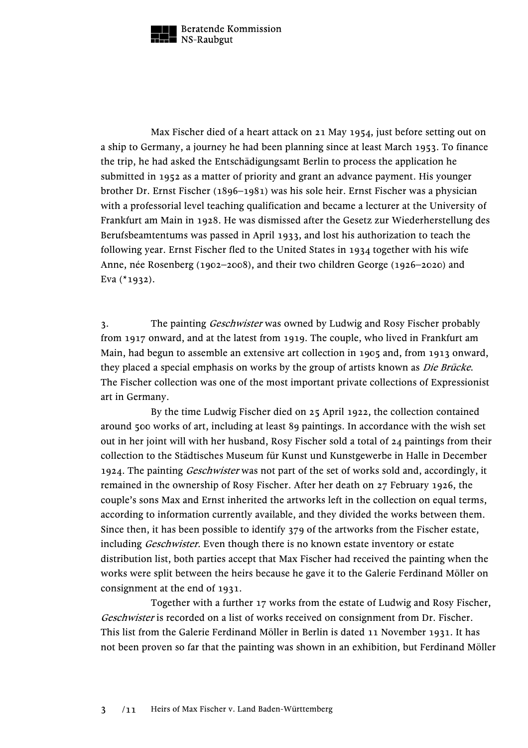

Max Fischer died of a heart attack on 21 May 1954, just before setting out on a ship to Germany, a journey he had been planning since at least March 1953. To finance the trip, he had asked the Entschädigungsamt Berlin to process the application he submitted in 1952 as a matter of priority and grant an advance payment. His younger brother Dr. Ernst Fischer (1896–1981) was his sole heir. Ernst Fischer was a physician with a professorial level teaching qualification and became a lecturer at the University of Frankfurt am Main in 1928. He was dismissed after the Gesetz zur Wiederherstellung des Berufsbeamtentums was passed in April 1933, and lost his authorization to teach the following year. Ernst Fischer fled to the United States in 1934 together with his wife Anne, née Rosenberg (1902–2008), and their two children George (1926–2020) and Eva (\*1932).

3. The painting *Geschwister* was owned by Ludwig and Rosy Fischer probably from 1917 onward, and at the latest from 1919. The couple, who lived in Frankfurt am Main, had begun to assemble an extensive art collection in 1905 and, from 1913 onward, they placed a special emphasis on works by the group of artists known as *Die Brücke*. The Fischer collection was one of the most important private collections of Expressionist art in Germany.

By the time Ludwig Fischer died on 25 April 1922, the collection contained around 500 works of art, including at least 89 paintings. In accordance with the wish set out in her joint will with her husband, Rosy Fischer sold a total of 24 paintings from their collection to the Städtisches Museum für Kunst und Kunstgewerbe in Halle in December 1924. The painting Geschwister was not part of the set of works sold and, accordingly, it remained in the ownership of Rosy Fischer. After her death on 27 February 1926, the couple's sons Max and Ernst inherited the artworks left in the collection on equal terms, according to information currently available, and they divided the works between them. Since then, it has been possible to identify 379 of the artworks from the Fischer estate, including *Geschwister*. Even though there is no known estate inventory or estate distribution list, both parties accept that Max Fischer had received the painting when the works were split between the heirs because he gave it to the Galerie Ferdinand Möller on consignment at the end of 1931.

Together with a further 17 works from the estate of Ludwig and Rosy Fischer, Geschwister is recorded on a list of works received on consignment from Dr. Fischer. This list from the Galerie Ferdinand Möller in Berlin is dated 11 November 1931. It has not been proven so far that the painting was shown in an exhibition, but Ferdinand Möller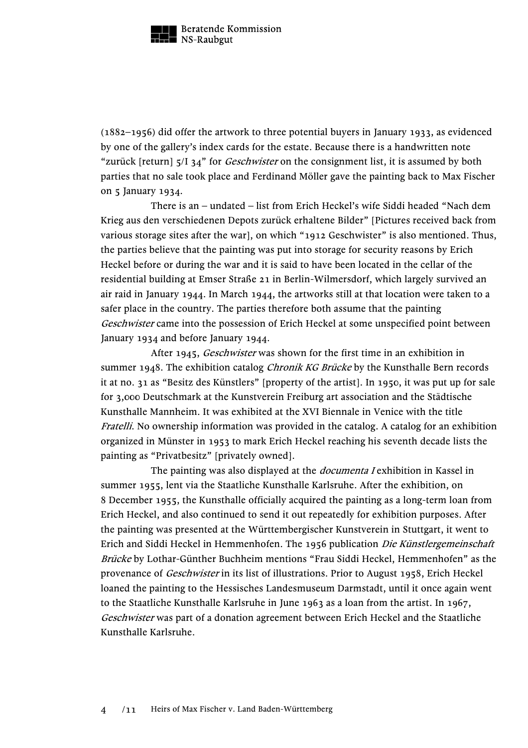

(1882–1956) did offer the artwork to three potential buyers in January 1933, as evidenced by one of the gallery's index cards for the estate. Because there is a handwritten note "zurück [return]  $5/134$ " for *Geschwister* on the consignment list, it is assumed by both parties that no sale took place and Ferdinand Möller gave the painting back to Max Fischer on 5 January 1934.

There is an – undated – list from Erich Heckel's wife Siddi headed "Nach dem Krieg aus den verschiedenen Depots zurück erhaltene Bilder" [Pictures received back from various storage sites after the war], on which "1912 Geschwister" is also mentioned. Thus, the parties believe that the painting was put into storage for security reasons by Erich Heckel before or during the war and it is said to have been located in the cellar of the residential building at Emser Straße 21 in Berlin-Wilmersdorf, which largely survived an air raid in January 1944. In March 1944, the artworks still at that location were taken to a safer place in the country. The parties therefore both assume that the painting Geschwister came into the possession of Erich Heckel at some unspecified point between January 1934 and before January 1944.

After 1945, Geschwister was shown for the first time in an exhibition in summer 1948. The exhibition catalog *Chronik KG Brücke* by the Kunsthalle Bern records it at no. 31 as "Besitz des Künstlers" [property of the artist]. In 1950, it was put up for sale for 3,000 Deutschmark at the Kunstverein Freiburg art association and the Städtische Kunsthalle Mannheim. It was exhibited at the XVI Biennale in Venice with the title Fratelli. No ownership information was provided in the catalog. A catalog for an exhibition organized in Münster in 1953 to mark Erich Heckel reaching his seventh decade lists the painting as "Privatbesitz" [privately owned].

The painting was also displayed at the *documenta I* exhibition in Kassel in summer 1955, lent via the Staatliche Kunsthalle Karlsruhe. After the exhibition, on 8 December 1955, the Kunsthalle officially acquired the painting as a long-term loan from Erich Heckel, and also continued to send it out repeatedly for exhibition purposes. After the painting was presented at the Württembergischer Kunstverein in Stuttgart, it went to Erich and Siddi Heckel in Hemmenhofen. The 1956 publication Die Künstlergemeinschaft Brücke by Lothar-Günther Buchheim mentions "Frau Siddi Heckel, Hemmenhofen" as the provenance of *Geschwister* in its list of illustrations. Prior to August 1958, Erich Heckel loaned the painting to the Hessisches Landesmuseum Darmstadt, until it once again went to the Staatliche Kunsthalle Karlsruhe in June 1963 as a loan from the artist. In 1967, Geschwister was part of a donation agreement between Erich Heckel and the Staatliche Kunsthalle Karlsruhe.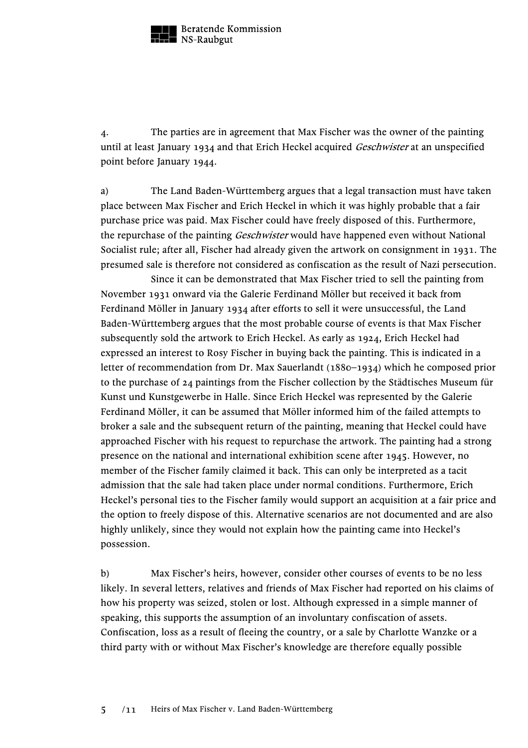

4. The parties are in agreement that Max Fischer was the owner of the painting until at least January 1934 and that Erich Heckel acquired *Geschwister* at an unspecified point before January 1944.

a) The Land Baden-Württemberg argues that a legal transaction must have taken place between Max Fischer and Erich Heckel in which it was highly probable that a fair purchase price was paid. Max Fischer could have freely disposed of this. Furthermore, the repurchase of the painting *Geschwister* would have happened even without National Socialist rule; after all, Fischer had already given the artwork on consignment in 1931. The presumed sale is therefore not considered as confiscation as the result of Nazi persecution.

Since it can be demonstrated that Max Fischer tried to sell the painting from November 1931 onward via the Galerie Ferdinand Möller but received it back from Ferdinand Möller in January 1934 after efforts to sell it were unsuccessful, the Land Baden-Württemberg argues that the most probable course of events is that Max Fischer subsequently sold the artwork to Erich Heckel. As early as 1924, Erich Heckel had expressed an interest to Rosy Fischer in buying back the painting. This is indicated in a letter of recommendation from Dr. Max Sauerlandt (1880–1934) which he composed prior to the purchase of 24 paintings from the Fischer collection by the Städtisches Museum für Kunst und Kunstgewerbe in Halle. Since Erich Heckel was represented by the Galerie Ferdinand Möller, it can be assumed that Möller informed him of the failed attempts to broker a sale and the subsequent return of the painting, meaning that Heckel could have approached Fischer with his request to repurchase the artwork. The painting had a strong presence on the national and international exhibition scene after 1945. However, no member of the Fischer family claimed it back. This can only be interpreted as a tacit admission that the sale had taken place under normal conditions. Furthermore, Erich Heckel's personal ties to the Fischer family would support an acquisition at a fair price and the option to freely dispose of this. Alternative scenarios are not documented and are also highly unlikely, since they would not explain how the painting came into Heckel's possession.

b) Max Fischer's heirs, however, consider other courses of events to be no less likely. In several letters, relatives and friends of Max Fischer had reported on his claims of how his property was seized, stolen or lost. Although expressed in a simple manner of speaking, this supports the assumption of an involuntary confiscation of assets. Confiscation, loss as a result of fleeing the country, or a sale by Charlotte Wanzke or a third party with or without Max Fischer's knowledge are therefore equally possible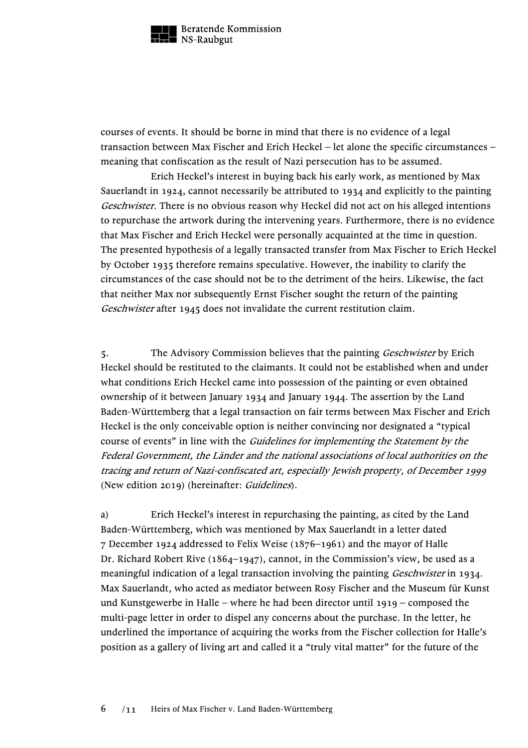

courses of events. It should be borne in mind that there is no evidence of a legal transaction between Max Fischer and Erich Heckel – let alone the specific circumstances – meaning that confiscation as the result of Nazi persecution has to be assumed.

Erich Heckel's interest in buying back his early work, as mentioned by Max Sauerlandt in 1924, cannot necessarily be attributed to 1934 and explicitly to the painting Geschwister. There is no obvious reason why Heckel did not act on his alleged intentions to repurchase the artwork during the intervening years. Furthermore, there is no evidence that Max Fischer and Erich Heckel were personally acquainted at the time in question. The presented hypothesis of a legally transacted transfer from Max Fischer to Erich Heckel by October 1935 therefore remains speculative. However, the inability to clarify the circumstances of the case should not be to the detriment of the heirs. Likewise, the fact that neither Max nor subsequently Ernst Fischer sought the return of the painting Geschwister after 1945 does not invalidate the current restitution claim.

5. The Advisory Commission believes that the painting *Geschwister* by Erich Heckel should be restituted to the claimants. It could not be established when and under what conditions Erich Heckel came into possession of the painting or even obtained ownership of it between January 1934 and January 1944. The assertion by the Land Baden-Württemberg that a legal transaction on fair terms between Max Fischer and Erich Heckel is the only conceivable option is neither convincing nor designated a "typical course of events" in line with the *Guidelines for implementing the Statement by the* Federal Government, the Länder and the national associations of local authorities on the tracing and return of Nazi-confiscated art, especially Jewish property, of December 1999 (New edition 2019) (hereinafter: Guidelines).

a) Erich Heckel's interest in repurchasing the painting, as cited by the Land Baden-Württemberg, which was mentioned by Max Sauerlandt in a letter dated 7 December 1924 addressed to Felix Weise (1876–1961) and the mayor of Halle Dr. Richard Robert Rive (1864–1947), cannot, in the Commission's view, be used as a meaningful indication of a legal transaction involving the painting *Geschwister* in 1934. Max Sauerlandt, who acted as mediator between Rosy Fischer and the Museum für Kunst und Kunstgewerbe in Halle – where he had been director until 1919 – composed the multi-page letter in order to dispel any concerns about the purchase. In the letter, he underlined the importance of acquiring the works from the Fischer collection for Halle's position as a gallery of living art and called it a "truly vital matter" for the future of the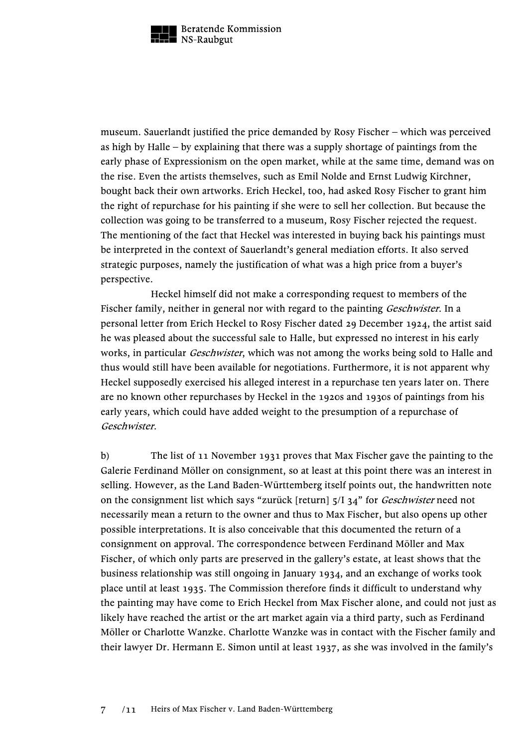

museum. Sauerlandt justified the price demanded by Rosy Fischer – which was perceived as high by Halle – by explaining that there was a supply shortage of paintings from the early phase of Expressionism on the open market, while at the same time, demand was on the rise. Even the artists themselves, such as Emil Nolde and Ernst Ludwig Kirchner, bought back their own artworks. Erich Heckel, too, had asked Rosy Fischer to grant him the right of repurchase for his painting if she were to sell her collection. But because the collection was going to be transferred to a museum, Rosy Fischer rejected the request. The mentioning of the fact that Heckel was interested in buying back his paintings must be interpreted in the context of Sauerlandt's general mediation efforts. It also served strategic purposes, namely the justification of what was a high price from a buyer's perspective.

Heckel himself did not make a corresponding request to members of the Fischer family, neither in general nor with regard to the painting *Geschwister*. In a personal letter from Erich Heckel to Rosy Fischer dated 29 December 1924, the artist said he was pleased about the successful sale to Halle, but expressed no interest in his early works, in particular *Geschwister*, which was not among the works being sold to Halle and thus would still have been available for negotiations. Furthermore, it is not apparent why Heckel supposedly exercised his alleged interest in a repurchase ten years later on. There are no known other repurchases by Heckel in the 1920s and 1930s of paintings from his early years, which could have added weight to the presumption of a repurchase of Geschwister.

b) The list of 11 November 1931 proves that Max Fischer gave the painting to the Galerie Ferdinand Möller on consignment, so at least at this point there was an interest in selling. However, as the Land Baden-Württemberg itself points out, the handwritten note on the consignment list which says "zurück [return] 5/I 34" for *Geschwister* need not necessarily mean a return to the owner and thus to Max Fischer, but also opens up other possible interpretations. It is also conceivable that this documented the return of a consignment on approval. The correspondence between Ferdinand Möller and Max Fischer, of which only parts are preserved in the gallery's estate, at least shows that the business relationship was still ongoing in January 1934, and an exchange of works took place until at least 1935. The Commission therefore finds it difficult to understand why the painting may have come to Erich Heckel from Max Fischer alone, and could not just as likely have reached the artist or the art market again via a third party, such as Ferdinand Möller or Charlotte Wanzke. Charlotte Wanzke was in contact with the Fischer family and their lawyer Dr. Hermann E. Simon until at least 1937, as she was involved in the family's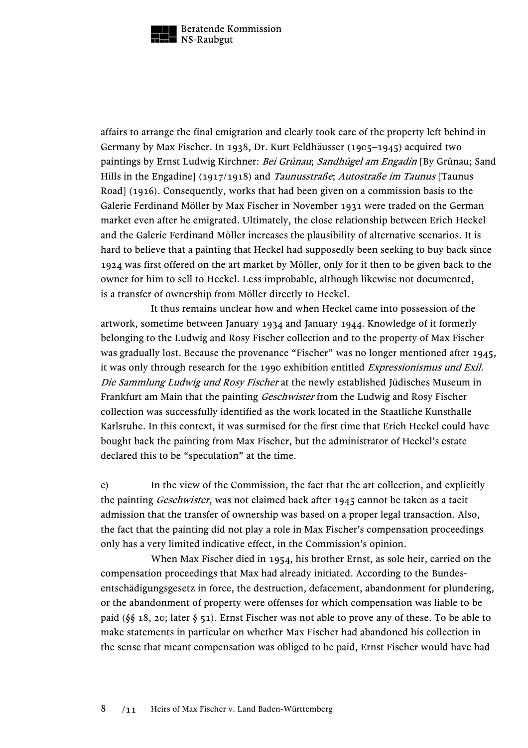

affairs to arrange the final emigration and clearly took care of the property left behind in Germany by Max Fischer. In 1938, Dr. Kurt Feldhäusser (1905–1945) acquired two paintings by Ernst Ludwig Kirchner: Bei Grünau; Sandhügel am Engadin [By Grünau; Sand Hills in the Engadine] (1917/1918) and *Taunusstraße*; Autostraße im Taunus [Taunus Road] (1916). Consequently, works that had been given on a commission basis to the Galerie Ferdinand Möller by Max Fischer in November 1931 were traded on the German market even after he emigrated. Ultimately, the close relationship between Erich Heckel and the Galerie Ferdinand Möller increases the plausibility of alternative scenarios. It is hard to believe that a painting that Heckel had supposedly been seeking to buy back since 1924 was first offered on the art market by Möller, only for it then to be given back to the owner for him to sell to Heckel. Less improbable, although likewise not documented, is a transfer of ownership from Möller directly to Heckel.

It thus remains unclear how and when Heckel came into possession of the artwork, sometime between January 1934 and January 1944. Knowledge of it formerly belonging to the Ludwig and Rosy Fischer collection and to the property of Max Fischer was gradually lost. Because the provenance "Fischer" was no longer mentioned after 1945, it was only through research for the 1990 exhibition entitled Expressionismus und Exil. Die Sammlung Ludwig und Rosy Fischer at the newly established Jüdisches Museum in Frankfurt am Main that the painting *Geschwister* from the Ludwig and Rosy Fischer collection was successfully identified as the work located in the Staatliche Kunsthalle Karlsruhe. In this context, it was surmised for the first time that Erich Heckel could have bought back the painting from Max Fischer, but the administrator of Heckel's estate declared this to be "speculation" at the time.

c) In the view of the Commission, the fact that the art collection, and explicitly the painting *Geschwister*, was not claimed back after 1945 cannot be taken as a tacit admission that the transfer of ownership was based on a proper legal transaction. Also, the fact that the painting did not play a role in Max Fischer's compensation proceedings only has a very limited indicative effect, in the Commission's opinion.

When Max Fischer died in 1954, his brother Ernst, as sole heir, carried on the compensation proceedings that Max had already initiated. According to the Bundesentschädigungsgesetz in force, the destruction, defacement, abandonment for plundering, or the abandonment of property were offenses for which compensation was liable to be paid (§§ 18, 20; later § 51). Ernst Fischer was not able to prove any of these. To be able to make statements in particular on whether Max Fischer had abandoned his collection in the sense that meant compensation was obliged to be paid, Ernst Fischer would have had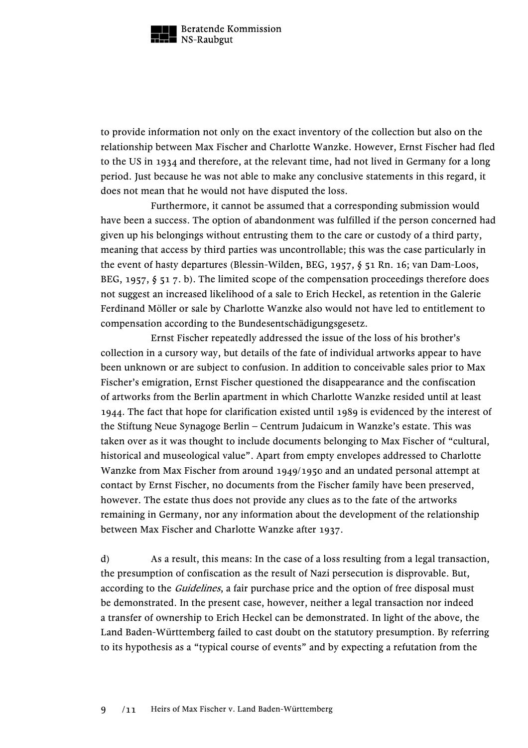

to provide information not only on the exact inventory of the collection but also on the relationship between Max Fischer and Charlotte Wanzke. However, Ernst Fischer had fled to the US in 1934 and therefore, at the relevant time, had not lived in Germany for a long period. Just because he was not able to make any conclusive statements in this regard, it does not mean that he would not have disputed the loss.

Furthermore, it cannot be assumed that a corresponding submission would have been a success. The option of abandonment was fulfilled if the person concerned had given up his belongings without entrusting them to the care or custody of a third party, meaning that access by third parties was uncontrollable; this was the case particularly in the event of hasty departures (Blessin-Wilden, BEG, 1957, § 51 Rn. 16; van Dam-Loos, BEG, 1957,  $\S$  51 7. b). The limited scope of the compensation proceedings therefore does not suggest an increased likelihood of a sale to Erich Heckel, as retention in the Galerie Ferdinand Möller or sale by Charlotte Wanzke also would not have led to entitlement to compensation according to the Bundesentschädigungsgesetz.

Ernst Fischer repeatedly addressed the issue of the loss of his brother's collection in a cursory way, but details of the fate of individual artworks appear to have been unknown or are subject to confusion. In addition to conceivable sales prior to Max Fischer's emigration, Ernst Fischer questioned the disappearance and the confiscation of artworks from the Berlin apartment in which Charlotte Wanzke resided until at least 1944. The fact that hope for clarification existed until 1989 is evidenced by the interest of the Stiftung Neue Synagoge Berlin – Centrum Judaicum in Wanzke's estate. This was taken over as it was thought to include documents belonging to Max Fischer of "cultural, historical and museological value". Apart from empty envelopes addressed to Charlotte Wanzke from Max Fischer from around 1949/1950 and an undated personal attempt at contact by Ernst Fischer, no documents from the Fischer family have been preserved, however. The estate thus does not provide any clues as to the fate of the artworks remaining in Germany, nor any information about the development of the relationship between Max Fischer and Charlotte Wanzke after 1937.

d) As a result, this means: In the case of a loss resulting from a legal transaction, the presumption of confiscation as the result of Nazi persecution is disprovable. But, according to the *Guidelines*, a fair purchase price and the option of free disposal must be demonstrated. In the present case, however, neither a legal transaction nor indeed a transfer of ownership to Erich Heckel can be demonstrated. In light of the above, the Land Baden-Württemberg failed to cast doubt on the statutory presumption. By referring to its hypothesis as a "typical course of events" and by expecting a refutation from the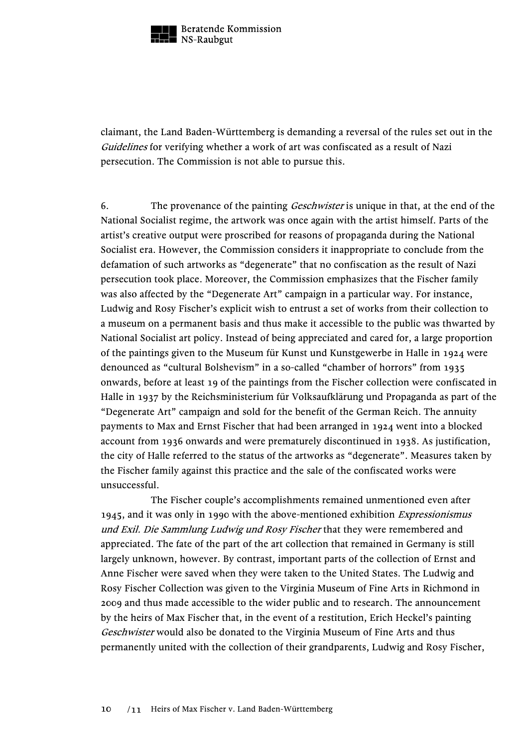

claimant, the Land Baden-Württemberg is demanding a reversal of the rules set out in the Guidelines for verifying whether a work of art was confiscated as a result of Nazi persecution. The Commission is not able to pursue this.

6. The provenance of the painting *Geschwister* is unique in that, at the end of the National Socialist regime, the artwork was once again with the artist himself. Parts of the artist's creative output were proscribed for reasons of propaganda during the National Socialist era. However, the Commission considers it inappropriate to conclude from the defamation of such artworks as "degenerate" that no confiscation as the result of Nazi persecution took place. Moreover, the Commission emphasizes that the Fischer family was also affected by the "Degenerate Art" campaign in a particular way. For instance, Ludwig and Rosy Fischer's explicit wish to entrust a set of works from their collection to a museum on a permanent basis and thus make it accessible to the public was thwarted by National Socialist art policy. Instead of being appreciated and cared for, a large proportion of the paintings given to the Museum für Kunst und Kunstgewerbe in Halle in 1924 were denounced as "cultural Bolshevism" in a so-called "chamber of horrors" from 1935 onwards, before at least 19 of the paintings from the Fischer collection were confiscated in Halle in 1937 by the Reichsministerium für Volksaufklärung und Propaganda as part of the "Degenerate Art" campaign and sold for the benefit of the German Reich. The annuity payments to Max and Ernst Fischer that had been arranged in 1924 went into a blocked account from 1936 onwards and were prematurely discontinued in 1938. As justification, the city of Halle referred to the status of the artworks as "degenerate". Measures taken by the Fischer family against this practice and the sale of the confiscated works were unsuccessful.

The Fischer couple's accomplishments remained unmentioned even after 1945, and it was only in 1990 with the above-mentioned exhibition Expressionismus und Exil. Die Sammlung Ludwig und Rosy Fischer that they were remembered and appreciated. The fate of the part of the art collection that remained in Germany is still largely unknown, however. By contrast, important parts of the collection of Ernst and Anne Fischer were saved when they were taken to the United States. The Ludwig and Rosy Fischer Collection was given to the Virginia Museum of Fine Arts in Richmond in 2009 and thus made accessible to the wider public and to research. The announcement by the heirs of Max Fischer that, in the event of a restitution, Erich Heckel's painting Geschwister would also be donated to the Virginia Museum of Fine Arts and thus permanently united with the collection of their grandparents, Ludwig and Rosy Fischer,